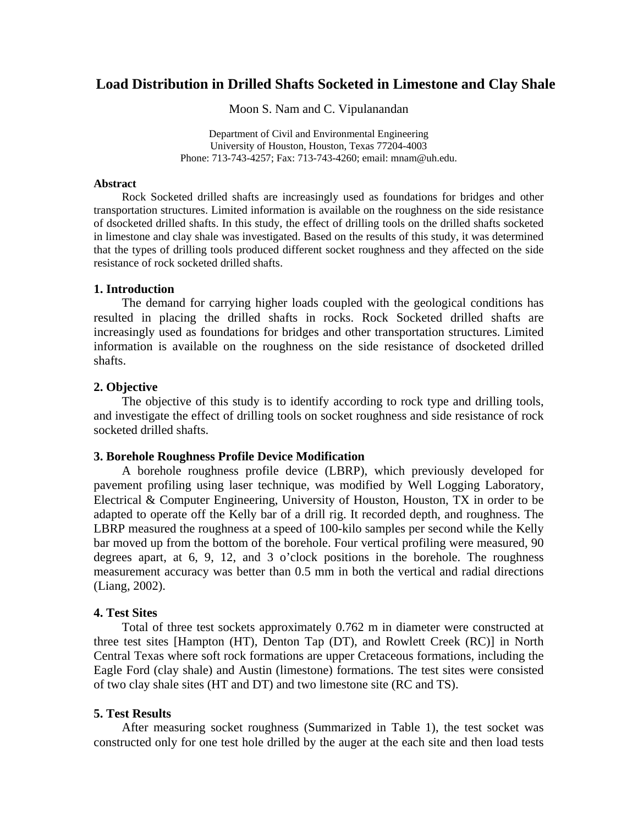# **Load Distribution in Drilled Shafts Socketed in Limestone and Clay Shale**

Moon S. Nam and C. Vipulanandan

Department of Civil and Environmental Engineering University of Houston, Houston, Texas 77204-4003 Phone: 713-743-4257; Fax: 713-743-4260; email: mnam@uh.edu.

#### **Abstract**

Rock Socketed drilled shafts are increasingly used as foundations for bridges and other transportation structures. Limited information is available on the roughness on the side resistance of dsocketed drilled shafts. In this study, the effect of drilling tools on the drilled shafts socketed in limestone and clay shale was investigated. Based on the results of this study, it was determined that the types of drilling tools produced different socket roughness and they affected on the side resistance of rock socketed drilled shafts.

#### **1. Introduction**

The demand for carrying higher loads coupled with the geological conditions has resulted in placing the drilled shafts in rocks. Rock Socketed drilled shafts are increasingly used as foundations for bridges and other transportation structures. Limited information is available on the roughness on the side resistance of dsocketed drilled shafts.

### **2. Objective**

The objective of this study is to identify according to rock type and drilling tools, and investigate the effect of drilling tools on socket roughness and side resistance of rock socketed drilled shafts.

### **3. Borehole Roughness Profile Device Modification**

A borehole roughness profile device (LBRP), which previously developed for pavement profiling using laser technique, was modified by Well Logging Laboratory, Electrical & Computer Engineering, University of Houston, Houston, TX in order to be adapted to operate off the Kelly bar of a drill rig. It recorded depth, and roughness. The LBRP measured the roughness at a speed of 100-kilo samples per second while the Kelly bar moved up from the bottom of the borehole. Four vertical profiling were measured, 90 degrees apart, at 6, 9, 12, and 3 o'clock positions in the borehole. The roughness measurement accuracy was better than 0.5 mm in both the vertical and radial directions (Liang, 2002).

# **4. Test Sites**

Total of three test sockets approximately 0.762 m in diameter were constructed at three test sites [Hampton (HT), Denton Tap (DT), and Rowlett Creek (RC)] in North Central Texas where soft rock formations are upper Cretaceous formations, including the Eagle Ford (clay shale) and Austin (limestone) formations. The test sites were consisted of two clay shale sites (HT and DT) and two limestone site (RC and TS).

### **5. Test Results**

After measuring socket roughness (Summarized in Table 1), the test socket was constructed only for one test hole drilled by the auger at the each site and then load tests